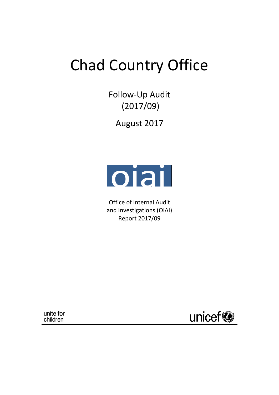# Chad Country Office

Follow-Up Audit (2017/09)

August 2017



Office of Internal Audit and Investigations (OIAI) Report 2017/09

unite for<br>children

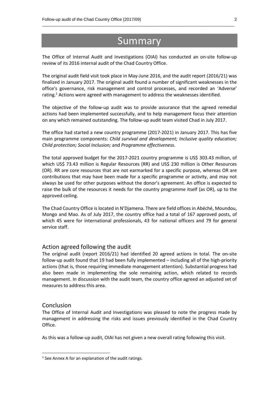# **Summary**

\_\_\_\_\_\_\_\_\_\_\_\_\_\_\_\_\_\_\_\_\_\_\_\_\_\_\_\_\_\_\_\_\_\_\_\_\_\_\_\_\_\_\_\_\_\_\_\_\_\_\_\_\_\_\_\_\_\_\_\_\_\_\_\_\_\_\_\_\_\_\_\_\_\_\_\_\_\_\_\_\_\_

The Office of Internal Audit and Investigations (OIAI) has conducted an on-site follow-up review of its 2016 internal audit of the Chad Country Office.

The original audit field visit took place in May-June 2016, and the audit report (2016/21) was finalized in January 2017. The original audit found a number of significant weaknesses in the office's governance, risk management and control processes, and recorded an 'Adverse' rating. <sup>1</sup> Actions were agreed with management to address the weaknesses identified.

The objective of the follow-up audit was to provide assurance that the agreed remedial actions had been implemented successfully, and to help management focus their attention on any which remained outstanding. The follow-up audit team visited Chad in July 2017.

The office had started a new country programme (2017-2021) in January 2017. This has five main programme components: *Child survival and development; Inclusive quality education; Child protection; Social Inclusion;* and *Programme effectiveness*.

The total approved budget for the 2017-2021 country programme is US\$ 303.43 million, of which US\$ 73.43 million is Regular Resources (RR) and US\$ 230 million is Other Resources (OR). RR are core resources that are not earmarked for a specific purpose, whereas OR are contributions that may have been made for a specific programme or activity, and may not always be used for other purposes without the donor's agreement. An office is expected to raise the bulk of the resources it needs for the country programme itself (as OR), up to the approved ceiling.

The Chad Country Office is located in N'Djamena. There are field offices in Abéché, Moundou, Mongo and Mao. As of July 2017, the country office had a total of 167 approved posts, of which 45 were for international professionals, 43 for national officers and 79 for general service staff.

#### Action agreed following the audit

The original audit (report 2016/21) had identified 20 agreed actions in total. The on-site follow-up audit found that 19 had been fully implemented – including all of the high-priority actions (that is, those requiring immediate management attention). Substantial progress had also been made in implementing the sole remaining action, which related to records management. In discussion with the audit team, the country office agreed an adjusted set of measures to address this area.

#### Conclusion

**.** 

The Office of Internal Audit and Investigations was pleased to note the progress made by management in addressing the risks and issues previously identified in the Chad Country Office.

As this was a follow-up audit, OIAI has not given a new overall rating following this visit.

<sup>&</sup>lt;sup>1</sup> See Annex A for an explanation of the audit ratings.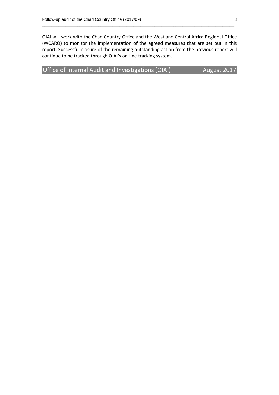OIAI will work with the Chad Country Office and the West and Central Africa Regional Office (WCARO) to monitor the implementation of the agreed measures that are set out in this report. Successful closure of the remaining outstanding action from the previous report will continue to be tracked through OIAI's on-line tracking system.

\_\_\_\_\_\_\_\_\_\_\_\_\_\_\_\_\_\_\_\_\_\_\_\_\_\_\_\_\_\_\_\_\_\_\_\_\_\_\_\_\_\_\_\_\_\_\_\_\_\_\_\_\_\_\_\_\_\_\_\_\_\_\_\_\_\_\_\_\_\_\_\_\_\_\_\_\_\_\_\_\_\_

Office of Internal Audit and Investigations (OIAI) August 2017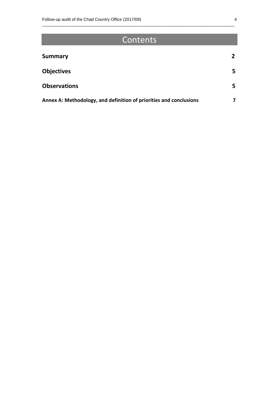# **Contents**

\_\_\_\_\_\_\_\_\_\_\_\_\_\_\_\_\_\_\_\_\_\_\_\_\_\_\_\_\_\_\_\_\_\_\_\_\_\_\_\_\_\_\_\_\_\_\_\_\_\_\_\_\_\_\_\_\_\_\_\_\_\_\_\_\_\_\_\_\_\_\_\_\_\_\_\_\_\_\_\_\_\_

| <b>Summary</b>                                                     | $\overline{2}$ |
|--------------------------------------------------------------------|----------------|
| <b>Objectives</b>                                                  | 5              |
| <b>Observations</b>                                                | 5              |
| Annex A: Methodology, and definition of priorities and conclusions |                |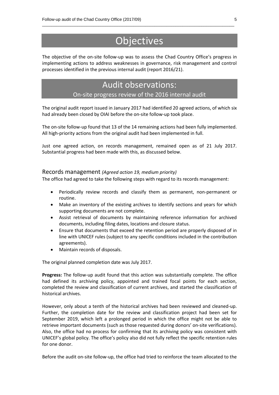# **Objectives**

\_\_\_\_\_\_\_\_\_\_\_\_\_\_\_\_\_\_\_\_\_\_\_\_\_\_\_\_\_\_\_\_\_\_\_\_\_\_\_\_\_\_\_\_\_\_\_\_\_\_\_\_\_\_\_\_\_\_\_\_\_\_\_\_\_\_\_\_\_\_\_\_\_\_\_\_\_\_\_\_\_\_

The objective of the on-site follow-up was to assess the Chad Country Office's progress in implementing actions to address weaknesses in governance, risk management and control processes identified in the previous internal audit (report 2016/21).

### Audit observations:

#### On-site progress review of the 2016 internal audit

The original audit report issued in January 2017 had identified 20 agreed actions, of which six had already been closed by OIAI before the on-site follow-up took place.

The on-site follow-up found that 13 of the 14 remaining actions had been fully implemented. All high-priority actions from the original audit had been implemented in full.

Just one agreed action, on records management, remained open as of 21 July 2017. Substantial progress had been made with this, as discussed below.

#### Records management *(Agreed action 19, medium priority)*

The office had agreed to take the following steps with regard to its records management:

- Periodically review records and classify them as permanent, non-permanent or routine.
- Make an inventory of the existing archives to identify sections and years for which supporting documents are not complete.
- Assist retrieval of documents by maintaining reference information for archived documents, including filing dates, locations and closure status.
- Ensure that documents that exceed the retention period are properly disposed of in line with UNICEF rules (subject to any specific conditions included in the contribution agreements).
- Maintain records of disposals.

The original planned completion date was July 2017.

**Progress:** The follow-up audit found that this action was substantially complete. The office had defined its archiving policy, appointed and trained focal points for each section, completed the review and classification of current archives, and started the classification of historical archives.

However, only about a tenth of the historical archives had been reviewed and cleaned-up. Further, the completion date for the review and classification project had been set for September 2019, which left a prolonged period in which the office might not be able to retrieve important documents (such as those requested during donors' on-site verifications). Also, the office had no process for confirming that its archiving policy was consistent with UNICEF's global policy. The office's policy also did not fully reflect the specific retention rules for one donor.

Before the audit on-site follow-up, the office had tried to reinforce the team allocated to the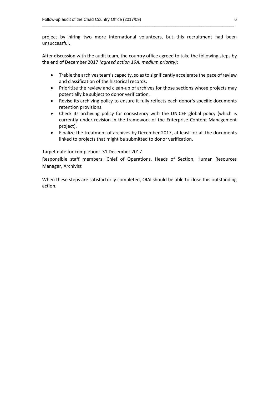project by hiring two more international volunteers, but this recruitment had been unsuccessful.

\_\_\_\_\_\_\_\_\_\_\_\_\_\_\_\_\_\_\_\_\_\_\_\_\_\_\_\_\_\_\_\_\_\_\_\_\_\_\_\_\_\_\_\_\_\_\_\_\_\_\_\_\_\_\_\_\_\_\_\_\_\_\_\_\_\_\_\_\_\_\_\_\_\_\_\_\_\_\_\_\_\_

After discussion with the audit team, the country office agreed to take the following steps by the end of December 2017 *(agreed action 19A, medium priority)*:

- Treble the archives team's capacity, so asto significantly accelerate the pace of review and classification of the historical records.
- Prioritize the review and clean-up of archives for those sections whose projects may potentially be subject to donor verification.
- Revise its archiving policy to ensure it fully reflects each donor's specific documents retention provisions.
- Check its archiving policy for consistency with the UNICEF global policy (which is currently under revision in the framework of the Enterprise Content Management project).
- Finalize the treatment of archives by December 2017, at least for all the documents linked to projects that might be submitted to donor verification.

Target date for completion: 31 December 2017

Responsible staff members: Chief of Operations, Heads of Section, Human Resources Manager, Archivist

When these steps are satisfactorily completed, OIAI should be able to close this outstanding action.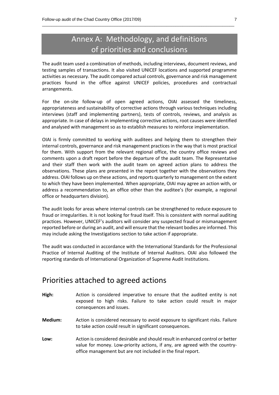## Annex A: Methodology, and definitions of priorities and conclusions

\_\_\_\_\_\_\_\_\_\_\_\_\_\_\_\_\_\_\_\_\_\_\_\_\_\_\_\_\_\_\_\_\_\_\_\_\_\_\_\_\_\_\_\_\_\_\_\_\_\_\_\_\_\_\_\_\_\_\_\_\_\_\_\_\_\_\_\_\_\_\_\_\_\_\_\_\_\_\_\_\_\_

The audit team used a combination of methods, including interviews, document reviews, and testing samples of transactions. It also visited UNICEF locations and supported programme activities as necessary. The audit compared actual controls, governance and risk management practices found in the office against UNICEF policies, procedures and contractual arrangements.

For the on-site follow-up of open agreed actions, OIAI assessed the timeliness, appropriateness and sustainability of corrective actions through various techniques including interviews (staff and implementing partners), tests of controls, reviews, and analysis as appropriate. In case of delays in implementing corrective actions, root causes were identified and analysed with management so as to establish measures to reinforce implementation.

OIAI is firmly committed to working with auditees and helping them to strengthen their internal controls, governance and risk management practices in the way that is most practical for them. With support from the relevant regional office, the country office reviews and comments upon a draft report before the departure of the audit team. The Representative and their staff then work with the audit team on agreed action plans to address the observations. These plans are presented in the report together with the observations they address. OIAI follows up on these actions, and reports quarterly to management on the extent to which they have been implemented. When appropriate, OIAI may agree an action with, or address a recommendation to, an office other than the auditee's (for example, a regional office or headquarters division).

The audit looks for areas where internal controls can be strengthened to reduce exposure to fraud or irregularities. It is not looking for fraud itself. This is consistent with normal auditing practices. However, UNICEF's auditors will consider any suspected fraud or mismanagement reported before or during an audit, and will ensure that the relevant bodies are informed. This may include asking the Investigations section to take action if appropriate.

The audit was conducted in accordance with the International Standards for the Professional Practice of Internal Auditing of the Institute of Internal Auditors. OIAI also followed the reporting standards of International Organization of Supreme Audit Institutions.

### Priorities attached to agreed actions

- **High:** Action is considered imperative to ensure that the audited entity is not exposed to high risks. Failure to take action could result in major consequences and issues.
- **Medium:** Action is considered necessary to avoid exposure to significant risks. Failure to take action could result in significant consequences.
- **Low:** Action is considered desirable and should result in enhanced control or better value for money. Low-priority actions, if any, are agreed with the countryoffice management but are not included in the final report.